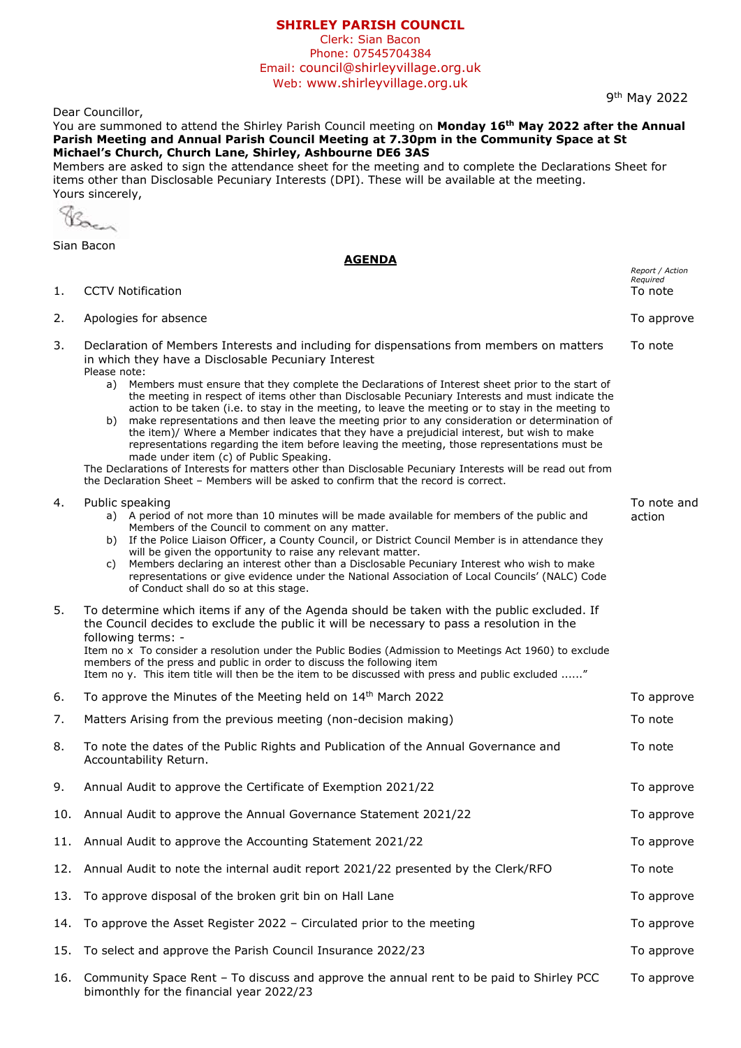## **SHIRLEY PARISH COUNCIL**

Clerk: Sian Bacon Phone: 07545704384 Email: council@shirleyvillage.org.uk Web: www.shirleyvillage.org.uk

9<sup>th</sup> May 2022

Dear Councillor,

You are summoned to attend the Shirley Parish Council meeting on **Monday 16th May 2022 after the Annual Parish Meeting and Annual Parish Council Meeting at 7.30pm in the Community Space at St Michael's Church, Church Lane, Shirley, Ashbourne DE6 3AS**

Members are asked to sign the attendance sheet for the meeting and to complete the Declarations Sheet for items other than Disclosable Pecuniary Interests (DPI). These will be available at the meeting. Yours sincerely,

Bac

Sian Bacon

## **AGENDA**

| 1.  | <b>CCTV Notification</b>                                                                                                                                                                                                                                                                                                                                                                                                                                                                                                                                                                                                                                                                                                                                                                                                                                                                                                                        | Report / Action<br>Required<br>To note |
|-----|-------------------------------------------------------------------------------------------------------------------------------------------------------------------------------------------------------------------------------------------------------------------------------------------------------------------------------------------------------------------------------------------------------------------------------------------------------------------------------------------------------------------------------------------------------------------------------------------------------------------------------------------------------------------------------------------------------------------------------------------------------------------------------------------------------------------------------------------------------------------------------------------------------------------------------------------------|----------------------------------------|
| 2.  | Apologies for absence                                                                                                                                                                                                                                                                                                                                                                                                                                                                                                                                                                                                                                                                                                                                                                                                                                                                                                                           | To approve                             |
| 3.  | Declaration of Members Interests and including for dispensations from members on matters<br>in which they have a Disclosable Pecuniary Interest<br>Please note:<br>Members must ensure that they complete the Declarations of Interest sheet prior to the start of<br>a)<br>the meeting in respect of items other than Disclosable Pecuniary Interests and must indicate the<br>action to be taken (i.e. to stay in the meeting, to leave the meeting or to stay in the meeting to<br>b) make representations and then leave the meeting prior to any consideration or determination of<br>the item)/ Where a Member indicates that they have a prejudicial interest, but wish to make<br>representations regarding the item before leaving the meeting, those representations must be<br>made under item (c) of Public Speaking.<br>The Declarations of Interests for matters other than Disclosable Pecuniary Interests will be read out from | To note                                |
| 4.  | the Declaration Sheet - Members will be asked to confirm that the record is correct.<br>Public speaking<br>a) A period of not more than 10 minutes will be made available for members of the public and<br>Members of the Council to comment on any matter.<br>b) If the Police Liaison Officer, a County Council, or District Council Member is in attendance they<br>will be given the opportunity to raise any relevant matter.<br>Members declaring an interest other than a Disclosable Pecuniary Interest who wish to make<br>C)<br>representations or give evidence under the National Association of Local Councils' (NALC) Code<br>of Conduct shall do so at this stage.                                                                                                                                                                                                                                                               | To note and<br>action                  |
| 5.  | To determine which items if any of the Agenda should be taken with the public excluded. If<br>the Council decides to exclude the public it will be necessary to pass a resolution in the<br>following terms: -<br>Item no x To consider a resolution under the Public Bodies (Admission to Meetings Act 1960) to exclude<br>members of the press and public in order to discuss the following item<br>Item no y. This item title will then be the item to be discussed with press and public excluded "                                                                                                                                                                                                                                                                                                                                                                                                                                         |                                        |
| 6.  | To approve the Minutes of the Meeting held on 14th March 2022                                                                                                                                                                                                                                                                                                                                                                                                                                                                                                                                                                                                                                                                                                                                                                                                                                                                                   | To approve                             |
| 7.  | Matters Arising from the previous meeting (non-decision making)                                                                                                                                                                                                                                                                                                                                                                                                                                                                                                                                                                                                                                                                                                                                                                                                                                                                                 | To note                                |
| 8.  | To note the dates of the Public Rights and Publication of the Annual Governance and<br>Accountability Return.                                                                                                                                                                                                                                                                                                                                                                                                                                                                                                                                                                                                                                                                                                                                                                                                                                   | To note                                |
| 9.  | Annual Audit to approve the Certificate of Exemption 2021/22                                                                                                                                                                                                                                                                                                                                                                                                                                                                                                                                                                                                                                                                                                                                                                                                                                                                                    | To approve                             |
| 10. | Annual Audit to approve the Annual Governance Statement 2021/22                                                                                                                                                                                                                                                                                                                                                                                                                                                                                                                                                                                                                                                                                                                                                                                                                                                                                 | To approve                             |
| 11. | Annual Audit to approve the Accounting Statement 2021/22                                                                                                                                                                                                                                                                                                                                                                                                                                                                                                                                                                                                                                                                                                                                                                                                                                                                                        | To approve                             |
| 12. | Annual Audit to note the internal audit report 2021/22 presented by the Clerk/RFO                                                                                                                                                                                                                                                                                                                                                                                                                                                                                                                                                                                                                                                                                                                                                                                                                                                               | To note                                |
| 13. | To approve disposal of the broken grit bin on Hall Lane                                                                                                                                                                                                                                                                                                                                                                                                                                                                                                                                                                                                                                                                                                                                                                                                                                                                                         | To approve                             |
| 14. | To approve the Asset Register 2022 - Circulated prior to the meeting                                                                                                                                                                                                                                                                                                                                                                                                                                                                                                                                                                                                                                                                                                                                                                                                                                                                            | To approve                             |
| 15. | To select and approve the Parish Council Insurance 2022/23                                                                                                                                                                                                                                                                                                                                                                                                                                                                                                                                                                                                                                                                                                                                                                                                                                                                                      | To approve                             |
| 16. | Community Space Rent - To discuss and approve the annual rent to be paid to Shirley PCC<br>bimonthly for the financial year 2022/23                                                                                                                                                                                                                                                                                                                                                                                                                                                                                                                                                                                                                                                                                                                                                                                                             | To approve                             |